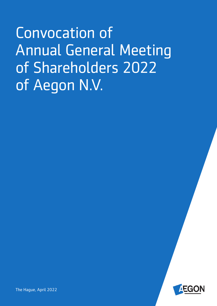Convocation of Annual General Meeting of Shareholders 2022 of Aegon N.V.



The Hague, April 2022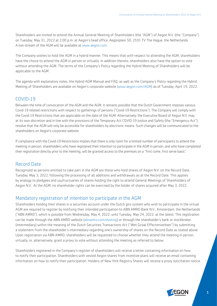Shareholders are invited to attend the Annual General Meeting of Shareholders (the "AGM") of Aegon N.V. (the "Company") on Tuesday, May 31, 2022 at 2:00 p.m. at Aegon's head office, Aegonplein 50, 2591 TV The Hague, the Netherlands. A live-stream of the AGM will be available at [www.aegon.com.](http://www.aegon.com)

The Company wishes to hold the AGM in a hybrid manner. This means that with respect to attending the AGM, shareholders have the choice to attend the AGM in person or virtually. In addition thereto, shareholders also have the option to vote without attending the AGM. The terms of the Company's Policy regarding the Hybrid Meeting of Shareholders will be applicable to the AGM.

The agenda with explanatory notes, the Hybrid AGM Manual and FAQ, as well as the Company's Policy regarding the Hybrid Meeting of Shareholders are available on Aegon's corporate website ([www.aegon.com/AGM\)](http://www.aegon.com/AGM) as of Tuesday, April 19, 2022.

# COVID-19

Between the time of convocation of the AGM and the AGM, it remains possible that the Dutch Government imposes various Covid-19 related restrictions with respect to gatherings of persons ("Covid-19 Restrictions"). The Company will comply with the Covid-19 Restrictions that are applicable on the date of the AGM. Alternatively, the Executive Board of Aegon N.V. may, at its own discretion and in line with the provisions of the Temporary Act COVID-19 Justice and Safety (the "Emergency-Act"), resolve that the AGM will only be accessible for shareholders by electronic means. Such changes will be communicated to the shareholders on Aegon's corporate website.

If compliance with the Covid-19 Restrictions implies that there is only room for a limited number of participants to attend the meeting in person, shareholders who have registered their intention to participate in the AGM in person, and who have completed their registration directly prior to the meeting, will be granted access to the premises on a "first come, first serve basis".

# Record Date

Recognized as persons entitled to take part in the AGM are those who hold shares of Aegon N.V. on the Record Date, Tuesday, May 3, 2022, following the processing of all additions and withdrawals as at the Record Date. This applies by analogy to pledgees and usufructuaries of shares holding the right to attend General Meetings of Shareholders of Aegon N.V.. At the AGM, no shareholder rights can be exercised by the holder of shares acquired after May 3, 2022.

# Mandatory registration of intention to participate in the AGM

Shareholders holding their shares in a securities account under the Dutch giro system who wish to participate in the virtual AGM are required to register by notifying their intended participation to ABN AMRO Bank N.V., Amsterdam, the Netherlands ("ABN AMRO"), which is possible from Wednesday, May 4, 2022, until Tuesday, May 24, 2022, at the latest. This registration can be made through the ABN AMRO website ([abnamro.com/evoting\)](https://abnamro.com/evoting) or through the shareholder's bank or stockbroker (intermediary) within the meaning of the Dutch Securities Transactions Act ("Wet Giraal Effectenverkeer") by submitting a statement from the shareholder's intermediary regarding one's ownership of shares on the Record Date as stated above. Upon registration via ABN AMRO, shareholders will be requested to choose whether they attend the meeting in person, virtually, or, alternatively, grant a proxy to vote without attending the meeting as referred to below.

Shareholders registered in the Company's register of shareholders will receive a letter containing information on how to notify their participation. Shareholders with vested Aegon shares from incentive plans will receive an email containing information on how to notify their participation. Holders of New York Registry Shares will receive a proxy solicitation notice.

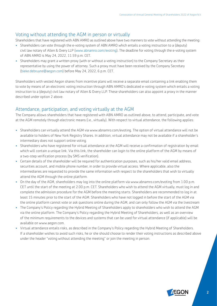# Voting without attending the AGM in person or virtually

Shareholders that have registered with ABN AMRO as outlined above have two manners to vote without attending the meeting:

- Shareholders can vote through the e-voting system of ABN AMRO which entails a voting instruction to a (deputy) civil law notary of Allen & Overy LLP [\(www.abnamro.com/evoting\)](https://corporatebroking.abnamro.com/shareholder). The deadline for voting through the e-voting system of ABN AMRO is May 24, 2022, 11.59 p.m. CET.
- Shareholders may grant a written proxy (with or without a voting instruction) to the Company Secretary as their representative by using the power of attorney. Such a proxy must have been received by the Company Secretary [\(bieke.debruyne@aegon.com\)](mailto:Bieke.Debruyne@aegon.com) before May 24, 2022, 6 p.m. CET.

Shareholders with vested Aegon shares from incentive plans will receive a separate email containing a link enabling them to vote by means of an electronic voting instruction through ABN AMRO's dedicated e-voting system which entails a voting instruction to a (deputy) civil law notary of Allen & Overy LLP. These shareholders can also appoint a proxy in the manner described under option 2 above.

# Attendance, participation, and voting virtually at the AGM

The Company allows shareholders that have registered with ABN AMRO as outlined above, to attend, participate, and vote at the AGM remotely through electronic means (i.e., virtually). With respect to virtual attendance, the following applies:

- Shareholders can virtually attend the AGM via [www.abnamro.com/evoting.](http://www.abnamro.com/evoting) The option of virtual attendance will not be available to holders of New York Registry Shares. In addition, virtual attendance may not be available if a shareholder's intermediary does not support online voting.
- Shareholders who have registered for virtual attendance at the AGM will receive a confirmation of registration by email which will contain a unique link. Via this link, the shareholder can login to the online platform of the AGM by means of a two-step verification process (by SMS verification).
- Certain details of the shareholder will be required for authentication purposes, such as his/her valid email address, securities account, and mobile phone number, in order to provide virtual access. Where applicable, also the intermediaries are requested to provide the same information with respect to the shareholders that wish to virtually attend the AGM through the online platform.
- On the day of the AGM, shareholders may log into the online platform via [www.abnamro.com/evoting](http://www.abnamro.com/evoting%20) from 1.00 p.m. CET until the start of the meeting at 2.00 p.m. CET. Shareholders who wish to attend the AGM virtually, must log in and complete the admission procedure for the AGM before the meeting starts. Shareholders are recommended to log in at least 15 minutes prior to the start of the AGM. Shareholders who have not logged in before the start of the AGM via the online platform cannot vote or ask questions online during the AGM, and can only follow the AGM via the livestream
- The Company's Policy regarding the Hybrid Meeting of Shareholders apply to shareholders who wish to attend the AGM via the online platform. The Company's Policy regarding the Hybrid Meeting of Shareholders, as well as an overview of the minimum requirements to the devices and systems that can be used for virtual attendance (if applicable) will be available on [www.aegon.com](http://www.aegon.com).
- Virtual attendance entails risks, as described in the Company's Policy regarding the Hybrid Meeting of Shareholders. If a shareholder wishes to avoid such risks, he or she should choose to render their voting instructions as described above under the header "voting without attending the meeting" or join the meeting in person.

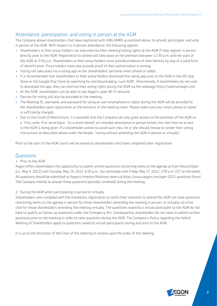# Attendance, participation, and voting in person at the AGM

The Company allows shareholders that have registered with ABN AMRO as outlined above, to attend, participate, and vote in person at the AGM. With respect to in person attendance, the following applies:

- Shareholders or their proxy holders can only exercise their meeting/voting rights at the AGM if they register in person directly prior to the AGM. Registration to attend will take place at the premises between 12:30 p.m. and the start of the AGM at 2:00 p.m. Shareholders or their proxy holders must provide evidence of their identity by way of a valid form of identification. Proxy holders must also provide proof of their authorization in writing.
- Voting will take place via a voting app on the shareholders' personal smart phone or tablet.
- It is recommended that shareholders or their proxy holders download the voting app prior to the AGM in the iOS App Store or the Google Play Store by searching for and downloading 'Lumi AGM'. Alternatively, if shareholders do not wish to download the app, they can exercise their voting rights during the AGM via the webpage [https://web.lumiagm.com.](https://web.lumiagm.com)
- At the AGM, shareholders will be able to use Aegon's open Wi-Fi network.
- Devices for voting will also be provided at the meeting.
- The Meeting ID, username, and password for using an own smartphone or tablet during the AGM will be provided to the shareholders upon registration at the entrance of the meeting room. Please make sure your smart phone or tablet is sufficiently charged.
- Due to the Covid-19 Restrictions, it is possible that the Company can only grant access to the premises of the AGM on a "first come, first serve basis". As a result hereof, an intended attendance in person entails the risks that no access to the AGM is being given. If a shareholder wishes to avoid such risks, he or she should choose to render their voting instructions as described above under the header "voting without attending the AGM in person or virtually".

Prior to the start of the AGM, lunch will be served to shareholders who have completed their registration.

### **Questions**

#### 1. Prior to the AGM

Aegon offers shareholders the opportunity to submit written questions concerning items on the agenda as from Record Date (i.e., May 4, 2022) until Tuesday, May 24, 2022, 6.00 p.m., but ultimately until Friday, May 27, 2022, 2.00 p.m. CET at the latest. All questions should be submitted to Aegon's Investor Relations team via https://www.aegon.com/agm-2022-questions-form/. The Company intends to answer these questions (possibly combined) during the meeting

### 2. During the AGM when participating in person or virtually

Shareholders who complied with the mandatory registration to notify their intention to attend the AGM can raise questions concerning items on the agenda in person for those shareholders attending the meeting in person, or virtually via a live chat for those shareholders attending the meeting virtually. The questions raised by a virtual participant to the AGM do not have to qualify as follow-up questions under the Emergency Act. Consequently, shareholders do not have to submit written questions prior to the meeting in order to raise questions during the AGM. The Company's Policy regarding the Hybrid Meeting of Shareholders apply to questions raised by virtual participants during and prior to the AGM.

It is up to the discretion of the Chair of the meeting to resolve upon the order of the meeting.